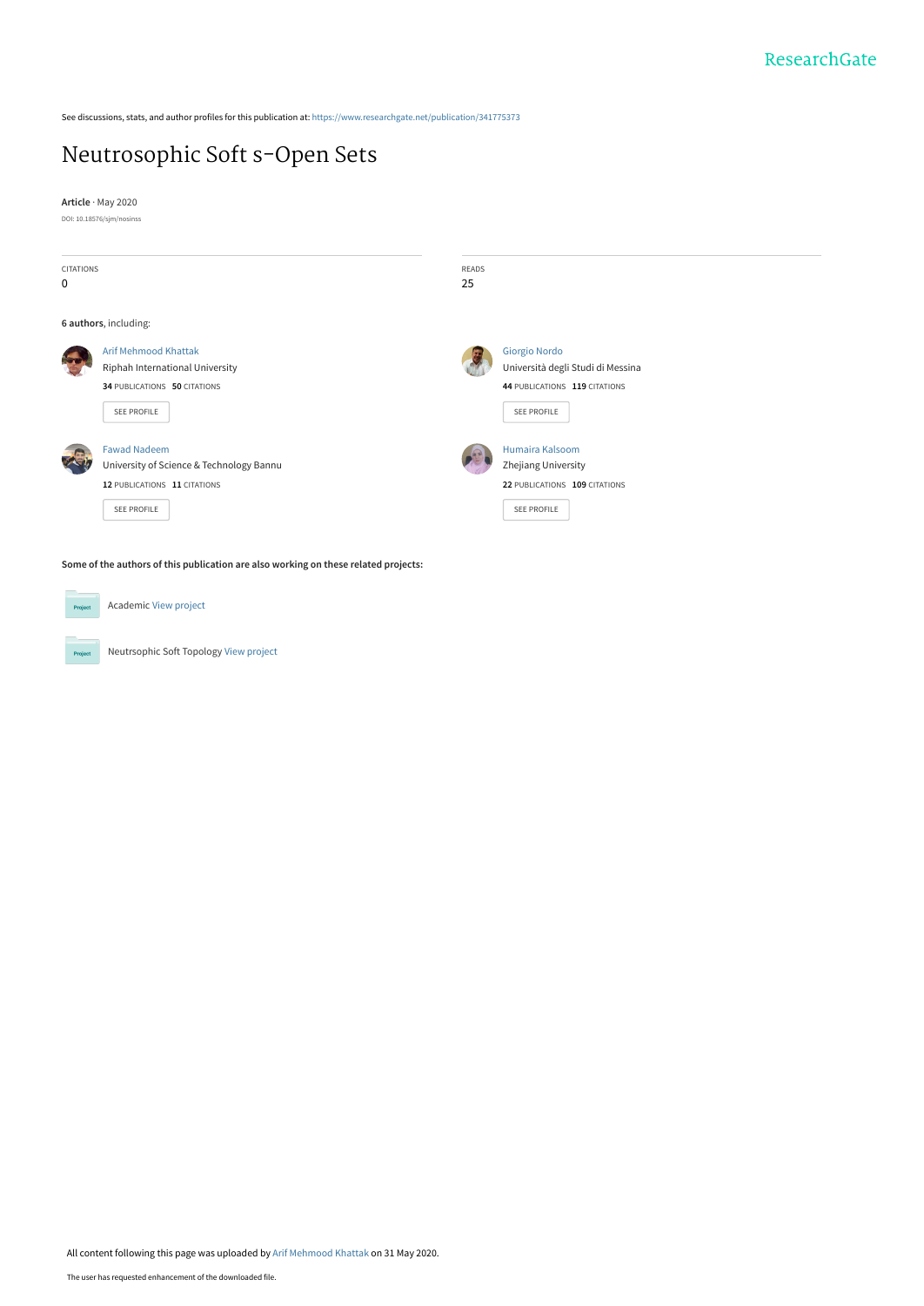See discussions, stats, and author profiles for this publication at: [https://www.researchgate.net/publication/341775373](https://www.researchgate.net/publication/341775373_Neutrosophic_Soft_s-Open_Sets?enrichId=rgreq-0170d676bb9440754ed67e2ca661a2ae-XXX&enrichSource=Y292ZXJQYWdlOzM0MTc3NTM3MztBUzo4OTcxNDkwODg4MjUzNDVAMTU5MDkwODQxOTM4MQ%3D%3D&el=1_x_2&_esc=publicationCoverPdf)

## [Neutrosophic Soft s-Open Sets](https://www.researchgate.net/publication/341775373_Neutrosophic_Soft_s-Open_Sets?enrichId=rgreq-0170d676bb9440754ed67e2ca661a2ae-XXX&enrichSource=Y292ZXJQYWdlOzM0MTc3NTM3MztBUzo4OTcxNDkwODg4MjUzNDVAMTU5MDkwODQxOTM4MQ%3D%3D&el=1_x_3&_esc=publicationCoverPdf)

**Article** · May 2020

DOI: 10.18576/sjm/nosinss



Academic [View project](https://www.researchgate.net/project/Academic-53?enrichId=rgreq-0170d676bb9440754ed67e2ca661a2ae-XXX&enrichSource=Y292ZXJQYWdlOzM0MTc3NTM3MztBUzo4OTcxNDkwODg4MjUzNDVAMTU5MDkwODQxOTM4MQ%3D%3D&el=1_x_9&_esc=publicationCoverPdf) Project Neutrsophic Soft Topology [View project](https://www.researchgate.net/project/Neutrsophic-Soft-Topology?enrichId=rgreq-0170d676bb9440754ed67e2ca661a2ae-XXX&enrichSource=Y292ZXJQYWdlOzM0MTc3NTM3MztBUzo4OTcxNDkwODg4MjUzNDVAMTU5MDkwODQxOTM4MQ%3D%3D&el=1_x_9&_esc=publicationCoverPdf)  $P_{\rm TC}$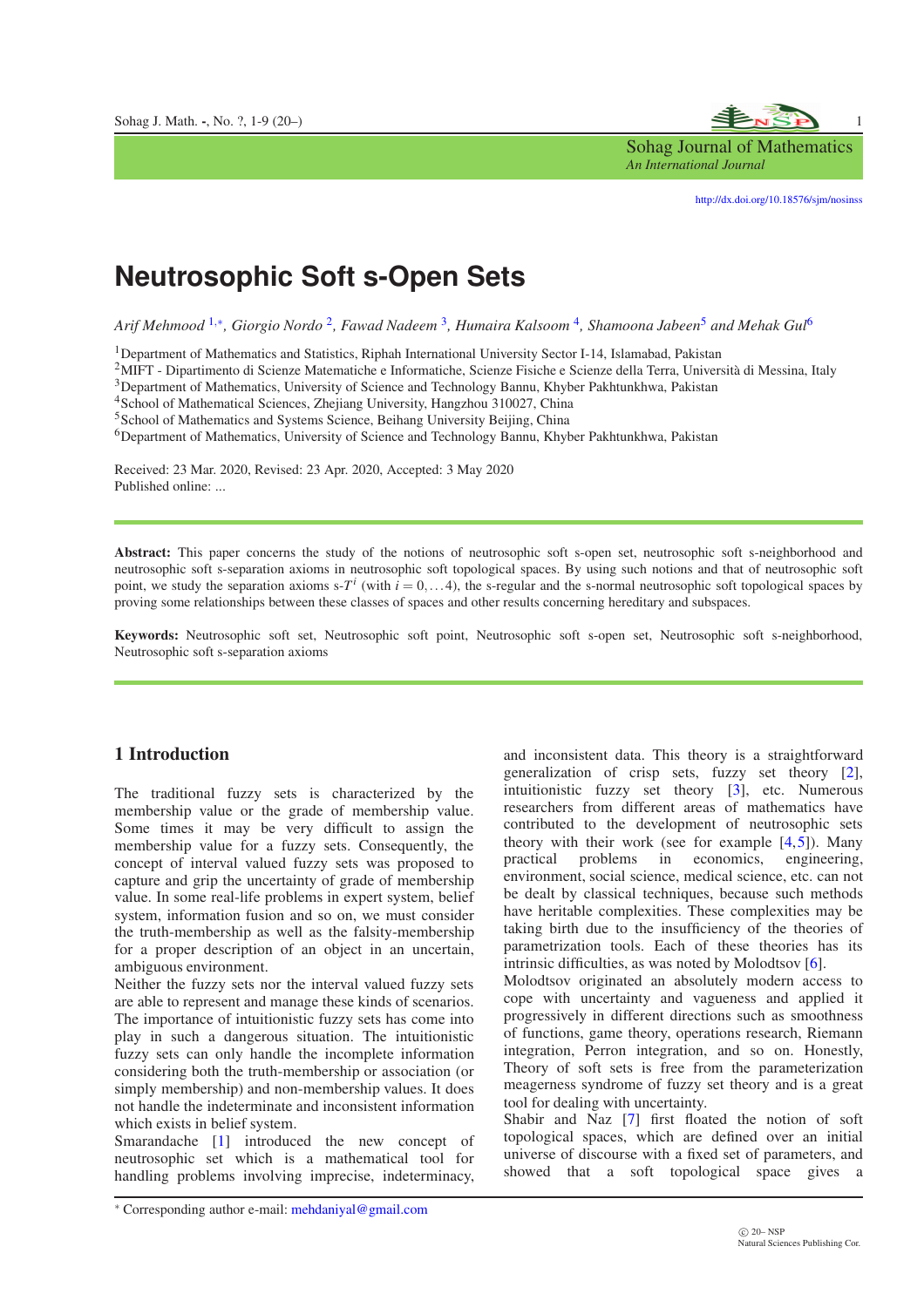

Sohag Journal of Mathematics *An International Journal*

<http://dx.doi.org/10.18576/sjm/nosinss>

# **Neutrosophic Soft s-Open Sets**

*Arif Mehmood* [1](#page-8-0),<sup>∗</sup> *, Giorgio Nordo* [2](#page-9-0) *, Fawad Nadeem* [3](#page-9-1) *, Humaira Kalsoom* [4](#page-9-2) *, Shamoona Jabeen*[5](#page-9-3) *and Mehak Gul*[6](#page-9-4)

<sup>1</sup>Department of Mathematics and Statistics, Riphah International University Sector I-14, Islamabad, Pakistan

<sup>2</sup>MIFT - Dipartimento di Scienze Matematiche e Informatiche, Scienze Fisiche e Scienze della Terra, Università di Messina, Italy

<sup>3</sup>Department of Mathematics, University of Science and Technology Bannu, Khyber Pakhtunkhwa, Pakistan

<sup>4</sup>School of Mathematical Sciences, Zhejiang University, Hangzhou 310027, China

<sup>5</sup>School of Mathematics and Systems Science, Beihang University Beijing, China

<sup>6</sup>Department of Mathematics, University of Science and Technology Bannu, Khyber Pakhtunkhwa, Pakistan

Received: 23 Mar. 2020, Revised: 23 Apr. 2020, Accepted: 3 May 2020 Published online: ...

Abstract: This paper concerns the study of the notions of neutrosophic soft s-open set, neutrosophic soft s-neighborhood and neutrosophic soft s-separation axioms in neutrosophic soft topological spaces. By using such notions and that of neutrosophic soft point, we study the separation axioms  $s-T^i$  (with  $i=0,...4$ ), the s-regular and the s-normal neutrosophic soft topological spaces by proving some relationships between these classes of spaces and other results concerning hereditary and subspaces.

Keywords: Neutrosophic soft set, Neutrosophic soft point, Neutrosophic soft s-open set, Neutrosophic soft s-neighborhood, Neutrosophic soft s-separation axioms

#### 1 Introduction

The traditional fuzzy sets is characterized by the membership value or the grade of membership value. Some times it may be very difficult to assign the membership value for a fuzzy sets. Consequently, the concept of interval valued fuzzy sets was proposed to capture and grip the uncertainty of grade of membership value. In some real-life problems in expert system, belief system, information fusion and so on, we must consider the truth-membership as well as the falsity-membership for a proper description of an object in an uncertain, ambiguous environment.

Neither the fuzzy sets nor the interval valued fuzzy sets are able to represent and manage these kinds of scenarios. The importance of intuitionistic fuzzy sets has come into play in such a dangerous situation. The intuitionistic fuzzy sets can only handle the incomplete information considering both the truth-membership or association (or simply membership) and non-membership values. It does not handle the indeterminate and inconsistent information which exists in belief system.

Smarandache [\[1\]](#page-8-1) introduced the new concept of neutrosophic set which is a mathematical tool for handling problems involving imprecise, indeterminacy,

and inconsistent data. This theory is a straightforward generalization of crisp sets, fuzzy set theory [\[2\]](#page-8-2), intuitionistic fuzzy set theory [\[3\]](#page-8-3), etc. Numerous researchers from different areas of mathematics have contributed to the development of neutrosophic sets theory with their work (see for example  $[4,5]$  $[4,5]$ ). Many practical problems in economics, engineering, environment, social science, medical science, etc. can not be dealt by classical techniques, because such methods have heritable complexities. These complexities may be taking birth due to the insufficiency of the theories of parametrization tools. Each of these theories has its intrinsic difficulties, as was noted by Molodtsov [\[6\]](#page-8-6).

Molodtsov originated an absolutely modern access to cope with uncertainty and vagueness and applied it progressively in different directions such as smoothness of functions, game theory, operations research, Riemann integration, Perron integration, and so on. Honestly, Theory of soft sets is free from the parameterization meagerness syndrome of fuzzy set theory and is a great tool for dealing with uncertainty.

Shabir and Naz [\[7\]](#page-8-7) first floated the notion of soft topological spaces, which are defined over an initial universe of discourse with a fixed set of parameters, and showed that a soft topological space gives a

<sup>∗</sup> Corresponding author e-mail: mehdaniyal@gmail.com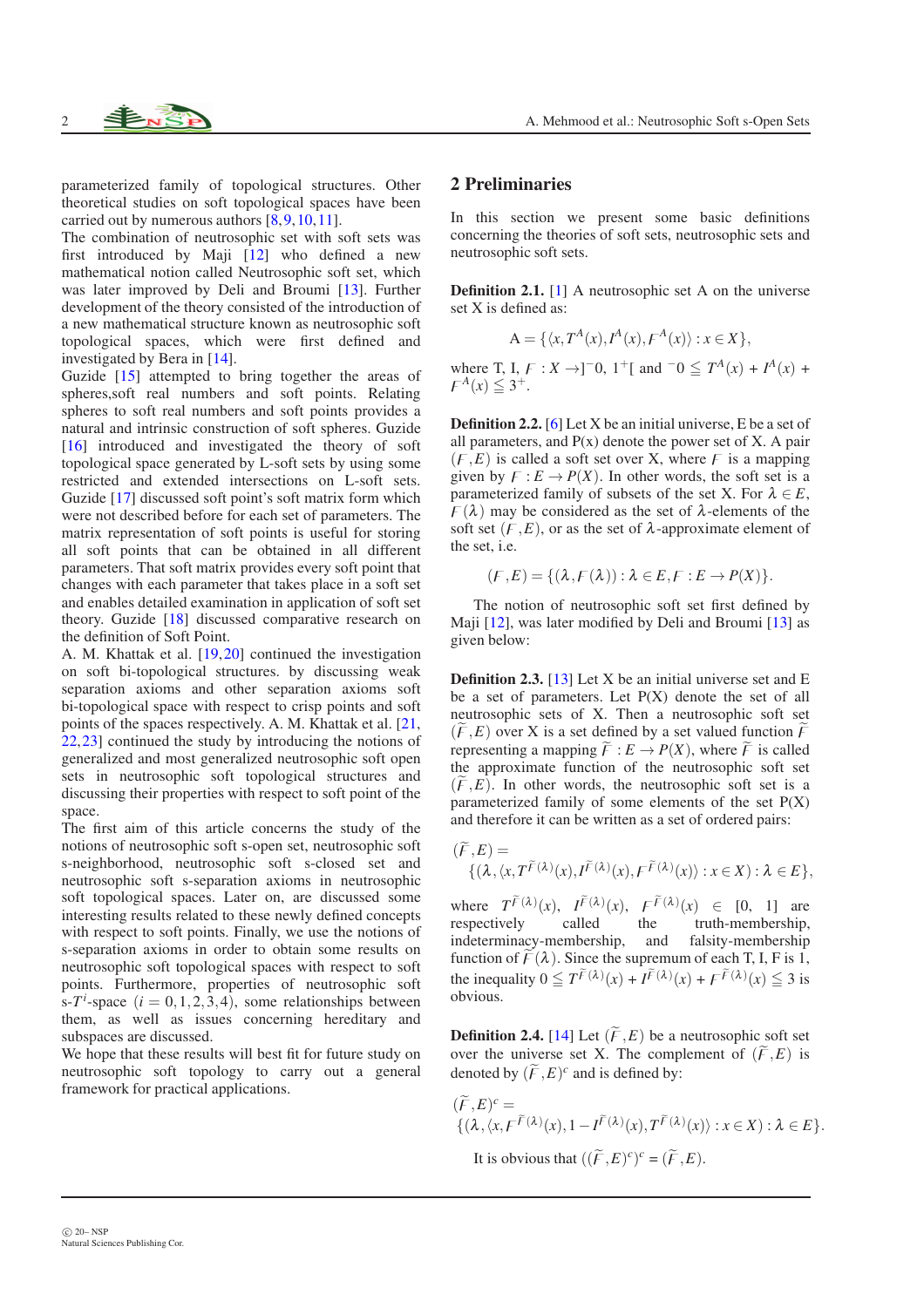parameterized family of topological structures. Other theoretical studies on soft topological spaces have been carried out by numerous authors  $[8, 9, 10, 11]$  $[8, 9, 10, 11]$  $[8, 9, 10, 11]$  $[8, 9, 10, 11]$  $[8, 9, 10, 11]$  $[8, 9, 10, 11]$ .

The combination of neutrosophic set with soft sets was first introduced by Maji  $\begin{bmatrix} 12 \\ 12 \end{bmatrix}$  who defined a new mathematical notion called Neutrosophic soft set, which was later improved by Deli and Broumi [\[13\]](#page-8-13). Further development of the theory consisted of the introduction of a new mathematical structure known as neutrosophic soft topological spaces, which were first defined and investigated by Bera in [\[14\]](#page-8-14).

Guzide [\[15\]](#page-8-15) attempted to bring together the areas of spheres,soft real numbers and soft points. Relating spheres to soft real numbers and soft points provides a natural and intrinsic construction of soft spheres. Guzide [\[16\]](#page-8-16) introduced and investigated the theory of soft topological space generated by L-soft sets by using some restricted and extended intersections on L-soft sets. Guzide [\[17\]](#page-8-17) discussed soft point's soft matrix form which were not described before for each set of parameters. The matrix representation of soft points is useful for storing all soft points that can be obtained in all different parameters. That soft matrix provides every soft point that changes with each parameter that takes place in a soft set and enables detailed examination in application of soft set theory. Guzide [\[18\]](#page-8-18) discussed comparative research on the definition of Soft Point.

A. M. Khattak et al. [\[19,](#page-8-19)[20\]](#page-8-20) continued the investigation on soft bi-topological structures. by discussing weak separation axioms and other separation axioms soft bi-topological space with respect to crisp points and soft points of the spaces respectively. A. M. Khattak et al. [\[21,](#page-8-21) [22,](#page-8-22) 231 continued the study by introducing the notions of generalized and most generalized neutrosophic soft open sets in neutrosophic soft topological structures and discussing their properties with respect to soft point of the space.

The first aim of this article concerns the study of the notions of neutrosophic soft s-open set, neutrosophic soft s-neighborhood, neutrosophic soft s-closed set and neutrosophic soft s-separation axioms in neutrosophic soft topological spaces. Later on, are discussed some interesting results related to these newly defined concepts with respect to soft points. Finally, we use the notions of s-separation axioms in order to obtain some results on neutrosophic soft topological spaces with respect to soft points. Furthermore, properties of neutrosophic soft  $\int \sin^2 t \cdot \sin^2 t \cdot d\theta$  = 0, 1, 2, 3, 4), some relationships between them, as well as issues concerning hereditary and subspaces are discussed.

We hope that these results will best fit for future study on neutrosophic soft topology to carry out a general framework for practical applications.

#### 2 Preliminaries

In this section we present some basic definitions concerning the theories of soft sets, neutrosophic sets and neutrosophic soft sets.

Definition 2.1. [\[1\]](#page-8-1) A neutrosophic set A on the universe set X is defined as:

$$
A = \{ \langle x, T^A(x), I^A(x), F^A(x) \rangle : x \in X \},
$$

where T, I,  $F: X \to ]-0, 1^+[$  and  $-0 \leq T^A(x) + I^A(x) +$  $\mathcal{F}^A(x) \leqq 3^+$ .

Definition 2.2. [\[6\]](#page-8-6) Let X be an initial universe, E be a set of all parameters, and  $P(x)$  denote the power set of X. A pair  $(F, E)$  is called a soft set over X, where *F* is a mapping given by  $F: E \to P(X)$ . In other words, the soft set is a parameterized family of subsets of the set X. For  $\lambda \in E$ ,  $F(\lambda)$  may be considered as the set of  $\lambda$ -elements of the soft set  $(F, E)$ , or as the set of  $\lambda$ -approximate element of the set, i.e.

$$
(F, E) = \{ (\lambda, F(\lambda)) : \lambda \in E, F : E \to P(X) \}.
$$

The notion of neutrosophic soft set first defined by Maji [\[12\]](#page-8-12), was later modified by Deli and Broumi [\[13\]](#page-8-13) as given below:

Definition 2.3. [\[13\]](#page-8-13) Let X be an initial universe set and E be a set of parameters. Let  $P(X)$  denote the set of all neutrosophic sets of X. Then a neutrosophic soft set  $(F, E)$  over X is a set defined by a set valued function  $\overline{F}$ representing a mapping  $\widetilde{F}: E \to P(X)$ , where  $\widetilde{F}$  is called the approximate function of the neutrosophic soft set  $(\widetilde{F}, E)$ . In other words, the neutrosophic soft set is a parameterized family of some elements of the set P(X) and therefore it can be written as a set of ordered pairs:

$$
(\widetilde{F}, E) = \{ (\lambda, \langle x, T^{\widetilde{F}}(\lambda)(x), I^{\widetilde{F}}(\lambda)(x), F^{\widetilde{F}}(\lambda)(x) \rangle : x \in X) : \lambda \in E \},
$$

where  $T^{\tilde{F}(\lambda)}(x)$ ,  $I^{\tilde{F}(\lambda)}(x)$ ,  $F^{\tilde{F}(\lambda)}(x) \in [0, 1]$  are respectively called the truth-membership, indeterminacy-membership, and falsity-membership function of  $\widetilde{F}(\lambda)$ . Since the supremum of each T, I, F is 1, the inequality  $0 \leq T^{\tilde{F}(\lambda)}(x) + I^{\tilde{F}(\lambda)}(x) + F^{\tilde{F}(\lambda)}(x) \leq 3$  is obvious.

**Definition 2.4.** [\[14\]](#page-8-14) Let  $(\widetilde{F}, E)$  be a neutrosophic soft set over the universe set X. The complement of  $(\widetilde{F}, E)$  is denoted by  $(\widetilde{F}, E)^c$  and is defined by:

$$
(\widetilde{F}, E)^c = \{ (\lambda, \langle x, F^{\widetilde{F}(\lambda)}(x), 1 - I^{\widetilde{F}(\lambda)}(x), T^{\widetilde{F}(\lambda)}(x) \rangle : x \in X) : \lambda \in E \}.
$$
  
It is obvious that  $((\widetilde{F}, E)^c)^c = (\widetilde{F}, E).$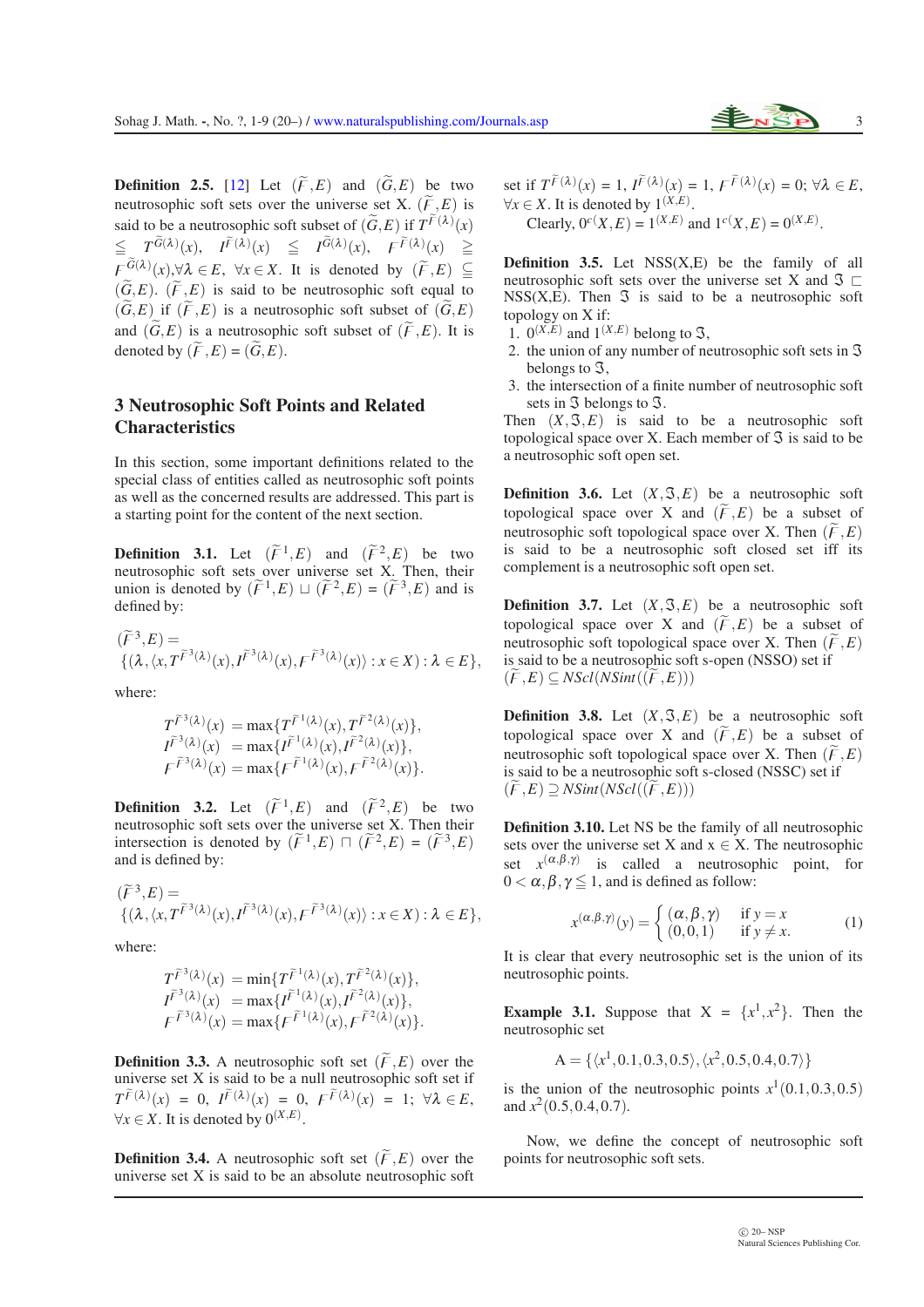**Definition 2.5.** [\[12\]](#page-8-12) Let  $(\widetilde{F}, E)$  and  $(\widetilde{G}, E)$  be two neutrosophic soft sets over the universe set X.  $(\widetilde{F}, E)$  is said to be a neutrosophic soft subset of  $(\widetilde{G}, E)$  if  $T^{\widetilde{F}(\lambda)}(x)$  $\leq T^{\tilde{G}(\lambda)}(x), \quad I^{\tilde{F}(\lambda)}(x) \leq I^{\tilde{G}(\lambda)}(x), \quad F^{\tilde{F}(\lambda)}(x) \geq$  $F^{G(\lambda)}_{\sim}(x), \forall \lambda \in E, \ \forall x \in X$ . It is denoted by  $(\widetilde{F}, E) \subseteq$  $(\widetilde{G}, E)$ .  $(\widetilde{F}, E)$  is said to be neutrosophic soft equal to  $(G, E)$  if  $(F, E)$  is a neutrosophic soft subset of  $(G, E)$ and  $(\widetilde{G}, E)$  is a neutrosophic soft subset of  $(\widetilde{F}, E)$ . It is denoted by  $(\widetilde{F}, E) = (\widetilde{G}, E)$ .

### 3 Neutrosophic Soft Points and Related **Characteristics**

In this section, some important definitions related to the special class of entities called as neutrosophic soft points as well as the concerned results are addressed. This part is a starting point for the content of the next section.

**Definition 3.1.** Let  $(\widetilde{F}^1, E)$  and  $(\widetilde{F}^2, E)$  be two neutrosophic soft sets over universe set X. Then, their union is denoted by  $(\widetilde{F}^1, E) \sqcup (\widetilde{F}^2, E) = (\widetilde{F}^3, E)$  and is defined by:

$$
\begin{aligned} &(\widetilde{F}^3,E)=\\ &\{(\lambda,\langle x, T^{\widetilde{F}^3(\lambda)}(x), I^{\widetilde{F}^3(\lambda)}(x), F^{\widetilde{F}^3(\lambda)}(x)\rangle:x\in X):\lambda\in E\}, \end{aligned}
$$

where:

$$
T^{\widetilde{F}^3(\lambda)}(x) = \max \{ T^{\widetilde{F}^1(\lambda)}(x), T^{\widetilde{F}^2(\lambda)}(x) \},
$$
  
\n
$$
I^{\widetilde{F}^3(\lambda)}(x) = \max \{ I^{\widetilde{F}^1(\lambda)}(x), I^{\widetilde{F}^2(\lambda)}(x) \},
$$
  
\n
$$
F^{\widetilde{F}^3(\lambda)}(x) = \max \{ F^{\widetilde{F}^1(\lambda)}(x), F^{\widetilde{F}^2(\lambda)}(x) \}.
$$

**Definition 3.2.** Let  $(\widetilde{F}^1, E)$  and  $(\widetilde{F}^2, E)$  be two neutrosophic soft sets over the universe set X. Then their intersection is denoted by  $(\widetilde{F}^1, E) \sqcap (\widetilde{F}^2, E) = (\widetilde{F}^3, E)$ and is defined by:

$$
\begin{aligned} &(\widetilde{F}^3,E)=\\ &\{(\lambda,\langle x, T^{\widetilde{F}^3(\lambda)}(x), I^{\widetilde{F}^3(\lambda)}(x), F^{\widetilde{F}^3(\lambda)}(x)\rangle : x\in X): \lambda\in E\}, \end{aligned}
$$

where:

$$
T^{\widetilde{F}^3(\lambda)}(x) = \min \{ T^{\widetilde{F}^1(\lambda)}(x), T^{\widetilde{F}^2(\lambda)}(x) \},
$$
  
\n
$$
I^{\widetilde{F}^3(\lambda)}(x) = \max \{ I^{\widetilde{F}^1(\lambda)}(x), I^{\widetilde{F}^2(\lambda)}(x) \},
$$
  
\n
$$
F^{\widetilde{F}^3(\lambda)}(x) = \max \{ F^{\widetilde{F}^1(\lambda)}(x), F^{\widetilde{F}^2(\lambda)}(x) \}.
$$

**Definition 3.3.** A neutrosophic soft set  $(\widetilde{F}, E)$  over the universe set X is said to be a null neutrosophic soft set if  $T^{\widetilde{F}(\lambda)}(x) = 0, \ I^{\widetilde{F}(\lambda)}(x) = 0, \ F^{\widetilde{F}(\lambda)}(x) = 1; \ \forall \lambda \in E,$  $∀x ∈ X$ . It is denoted by  $0^{(X,E)}$ .

**Definition 3.4.** A neutrosophic soft set  $(\widetilde{F}, E)$  over the universe set X is said to be an absolute neutrosophic soft set if  $T^{\tilde{F}(\lambda)}(x) = 1$ ,  $I^{\tilde{F}(\lambda)}(x) = 1$ ,  $F^{\tilde{F}(\lambda)}(x) = 0$ ;  $\forall \lambda \in E$ ,  $∀x ∈ X$ . It is denoted by  $1^{(X,E)}$ . Clearly,  $0^{c}(X, E) = 1^{(X,E)}$  and  $1^{c}(X, E) = 0^{(X,E)}$ .

**Definition 3.5.** Let  $NSS(X,E)$  be the family of all neutrosophic soft sets over the universe set X and  $\Im \Box$  $NSS(X, E)$ . Then  $\Im$  is said to be a neutrosophic soft topology on X if:

- 1.  $0^{(X,E)}$  and  $1^{(X,E)}$  belong to  $\Im$ ,
- 2. the union of any number of neutrosophic soft sets in  $\Im$ belongs to  $\mathfrak{I}$ ,
- 3. the intersection of a finite number of neutrosophic soft sets in  $\Im$  belongs to  $\Im$ .

Then  $(X, \mathcal{F}, E)$  is said to be a neutrosophic soft topological space over X. Each member of  $\Im$  is said to be a neutrosophic soft open set.

**Definition 3.6.** Let  $(X, \mathcal{F}, E)$  be a neutrosophic soft topological space over X and  $(\widetilde{F},E)$  be a subset of neutrosophic soft topological space over X. Then  $(\widetilde{F}, E)$ is said to be a neutrosophic soft closed set iff its complement is a neutrosophic soft open set.

**Definition 3.7.** Let  $(X, \mathcal{S}, E)$  be a neutrosophic soft topological space over X and  $(\widetilde{F}, E)$  be a subset of neutrosophic soft topological space over X. Then  $(\widetilde{F}, E)$ is said to be a neutrosophic soft s-open (NSSO) set if  $(\overline{F}, \overline{E}) \subseteq NScl(NSint((\overline{F}, \overline{E})))$ 

**Definition 3.8.** Let  $(X, \mathcal{F}, E)$  be a neutrosophic soft topological space over X and  $(\widetilde{F},E)$  be a subset of neutrosophic soft topological space over X. Then  $(\widetilde{F},E)$ is said to be a neutrosophic soft s-closed (NSSC) set if  $(\widetilde{F},E) \supseteq \text{NSint}(N\text{Scl}((\widetilde{F},E)))$ 

Definition 3.10. Let NS be the family of all neutrosophic sets over the universe set X and  $x \in X$ . The neutrosophic set  $x^{(\alpha,\beta,\gamma)}$  is called a neutrosophic point, for  $0 < \alpha, \beta, \gamma \leq 1$ , and is defined as follow:

$$
x^{(\alpha,\beta,\gamma)}(y) = \begin{cases} (\alpha,\beta,\gamma) & \text{if } y = x \\ (0,0,1) & \text{if } y \neq x. \end{cases}
$$
 (1)

It is clear that every neutrosophic set is the union of its neutrosophic points.

**Example 3.1.** Suppose that  $X = \{x^1, x^2\}$ . Then the neutrosophic set

$$
A = \{ \langle x^1, 0.1, 0.3, 0.5 \rangle, \langle x^2, 0.5, 0.4, 0.7 \rangle \}
$$

is the union of the neutrosophic points  $x^1(0.1, 0.3, 0.5)$ and  $x^2(0.5, 0.4, 0.7)$ .

Now, we define the concept of neutrosophic soft points for neutrosophic soft sets.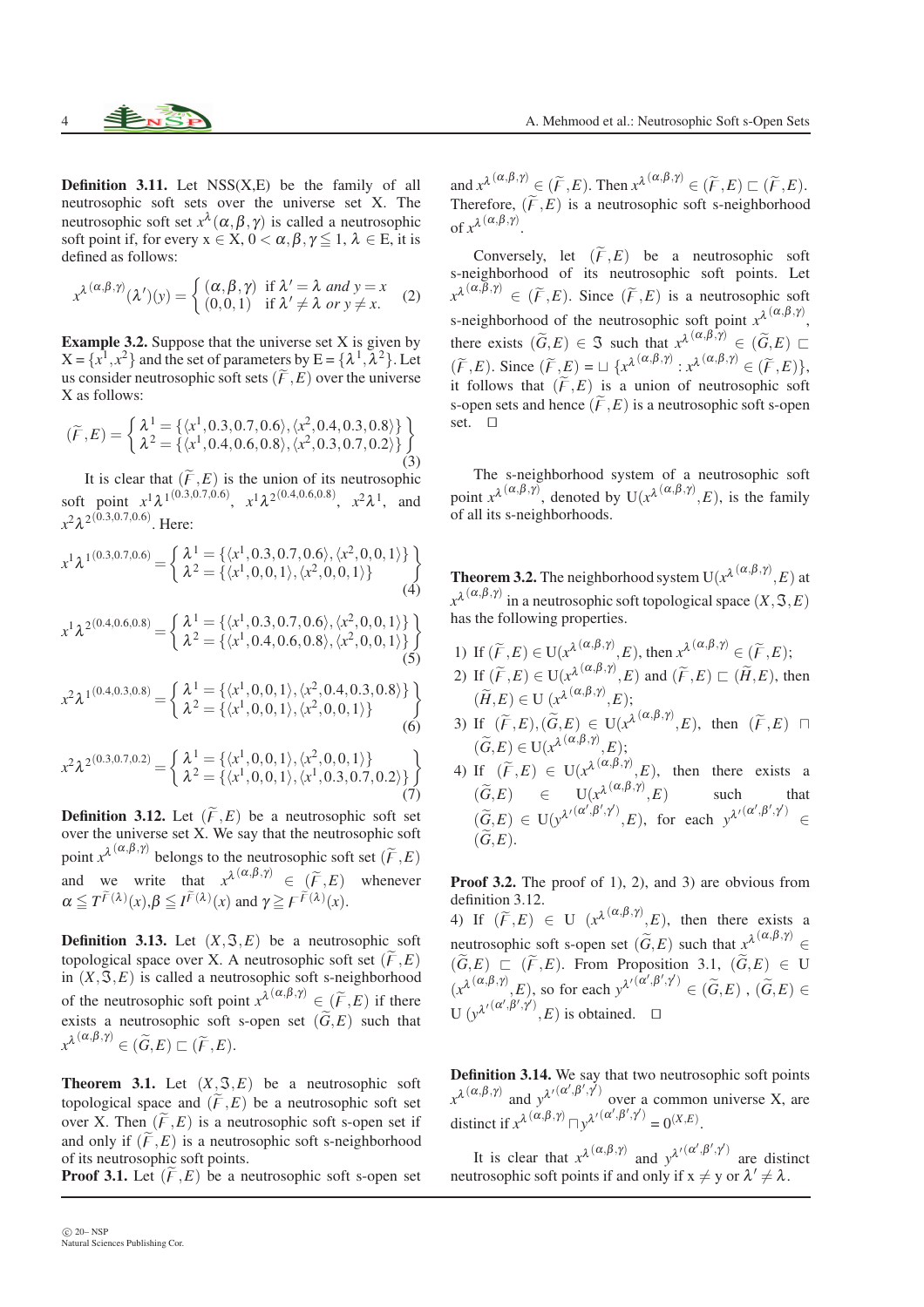**Definition 3.11.** Let  $NSS(X,E)$  be the family of all neutrosophic soft sets over the universe set X. The neutrosophic soft set  $x^{\lambda}(\alpha, \beta, \gamma)$  is called a neutrosophic soft point if, for every  $x \in X$ ,  $0 < \alpha, \beta, \gamma \leq 1$ ,  $\lambda \in E$ , it is defined as follows:

$$
x^{\lambda(\alpha,\beta,\gamma)}(\lambda')(y) = \begin{cases} (\alpha,\beta,\gamma) & \text{if } \lambda' = \lambda \text{ and } y = x \\ (0,0,1) & \text{if } \lambda' \neq \lambda \text{ or } y \neq x. \end{cases}
$$
 (2)

**Example 3.2.** Suppose that the universe set  $X$  is given by  $X = \{x^1, x^2\}$  and the set of parameters by  $E = \{\lambda^1, \lambda^2\}$ . Let us consider neutrosophic soft sets  $(\widetilde{F},E)$  over the universe X as follows:

$$
(\widetilde{F}, E) = \begin{cases} \lambda^1 = \{ \langle x^1, 0.3, 0.7, 0.6 \rangle, \langle x^2, 0.4, 0.3, 0.8 \rangle \} \\ \lambda^2 = \{ \langle x^1, 0.4, 0.6, 0.8 \rangle, \langle x^2, 0.3, 0.7, 0.2 \rangle \} \end{cases} \tag{3}
$$

It is clear that  $(\widetilde{F},E)$  is the union of its neutrosophic soft point  $x^1 \lambda^{1(0.3, 0.7, 0.6)}$ ,  $x^1 \lambda^{2(0.4, 0.6, 0.8)}$ ,  $x^2 \lambda^1$ , and *x* 2λ 2 (0.3,0.7,0.6) . Here:

$$
x^{1} \lambda^{1(0.3,0.7,0.6)} = \begin{cases} \lambda^{1} = \{ \langle x^{1}, 0.3, 0.7, 0.6 \rangle, \langle x^{2}, 0, 0, 1 \rangle \} \\ \lambda^{2} = \{ \langle x^{1}, 0, 0, 1 \rangle, \langle x^{2}, 0, 0, 1 \rangle \} \end{cases}
$$
(4)

$$
x^{1} \lambda^{2(0.4,0.6,0.8)} = \begin{cases} \lambda^{1} = \{ \langle x^{1}, 0.3, 0.7, 0.6 \rangle, \langle x^{2}, 0, 0, 1 \rangle \} \\ \lambda^{2} = \{ \langle x^{1}, 0.4, 0.6, 0.8 \rangle, \langle x^{2}, 0, 0, 1 \rangle \} \end{cases}
$$
(5)

$$
x^{2} \lambda^{1(0.4,0.3,0.8)} = \begin{cases} \lambda^{1} = \{ \langle x^{1}, 0, 0, 1 \rangle, \langle x^{2}, 0.4, 0.3, 0.8 \rangle \} \\ \lambda^{2} = \{ \langle x^{1}, 0, 0, 1 \rangle, \langle x^{2}, 0, 0, 1 \rangle \} \end{cases}
$$
(6)

$$
x^{2} \lambda^{2(0.3,0.7,0.2)} = \begin{cases} \lambda^{1} = \{ \langle x^{1}, 0, 0, 1 \rangle, \langle x^{2}, 0, 0, 1 \rangle \} \\ \lambda^{2} = \{ \langle x^{1}, 0, 0, 1 \rangle, \langle x^{1}, 0.3, 0.7, 0.2 \rangle \} \end{cases}
$$
(7)

**Definition 3.12.** Let  $(\widetilde{F}, E)$  be a neutrosophic soft set over the universe set X. We say that the neutrosophic soft point  $x^{\lambda}$ <sup>( $\alpha, \beta, \gamma$ )</sup> belongs to the neutrosophic soft set ( $\widetilde{F}, E$ ) and we write that  $x^{\lambda(\alpha,\beta,\gamma)} \in (\widetilde{F},E)$  whenever  $\alpha \leq T^{\widetilde{F}(\lambda)}(x), \beta \leq I^{\widetilde{F}(\lambda)}(x)$  and  $\gamma \geq F^{\widetilde{F}(\lambda)}(x)$ .

**Definition 3.13.** Let  $(X, \mathcal{F}, E)$  be a neutrosophic soft topological space over X. A neutrosophic soft set  $(\widetilde{F},E)$ in  $(X, \mathfrak{F}, E)$  is called a neutrosophic soft s-neighborhood of the neutrosophic soft point  $x^{\lambda(\alpha,\beta,\gamma)} \in (\widetilde{F},E)$  if there exists a neutrosophic soft s-open set  $(\widetilde{G}, E)$  such that  $x^{\lambda(\alpha,\beta,\gamma)} \in (\widetilde{G},E) \sqsubset (\widetilde{F},E).$ 

**Theorem 3.1.** Let  $(X, \mathcal{F}, E)$  be a neutrosophic soft topological space and  $(\widetilde{F}, E)$  be a neutrosophic soft set over X. Then  $(\widetilde{F},E)$  is a neutrosophic soft s-open set if and only if  $(\widetilde{F},E)$  is a neutrosophic soft s-neighborhood of its neutrosophic soft points.

**Proof 3.1.** Let  $(\widetilde{F}, E)$  be a neutrosophic soft s-open set

and  $x^{\lambda(\alpha,\beta,\gamma)} \in (\widetilde{F},E)$ . Then  $x^{\lambda(\alpha,\beta,\gamma)} \in (\widetilde{F},E) \sqsubset (\widetilde{F},E)$ . Therefore,  $(\widetilde{F}, E)$  is a neutrosophic soft s-neighborhood of  $x^{\lambda(\alpha,\beta,\gamma)}$ .

Conversely, let  $(\widetilde{F}, E)$  be a neutrosophic soft s-neighborhood of its neutrosophic soft points. Let  $x^{\lambda(\alpha,\beta,\gamma)} \in (\widetilde{F},E)$ . Since  $(\widetilde{F},E)$  is a neutrosophic soft s-neighborhood of the neutrosophic soft point  $x^{\lambda(\alpha,\beta,\gamma)}$ , there exists  $(\widetilde{G}, E) \in \mathfrak{S}$  such that  $x^{\lambda}(\alpha, \beta, \gamma) \in (\widetilde{G}, E) \square$  $(\widetilde{F},E)$ . Since  $(\widetilde{F},E) = \sqcup \{x^{\lambda(\alpha,\beta,\gamma)} : x^{\lambda(\alpha,\beta,\gamma)} \in (\widetilde{F},E)\},$ it follows that  $(\widetilde{F},E)$  is a union of neutrosophic soft s-open sets and hence  $(\widetilde{F}, E)$  is a neutrosophic soft s-open set. ⊓⊔

The s-neighborhood system of a neutrosophic soft point  $x^{\lambda}$ <sup>( $\alpha, \beta, \gamma$ ), denoted by U( $x^{\lambda}$ <sup>( $\alpha, \beta, \gamma$ ), *E*), is the family</sup></sup> of all its s-neighborhoods.

**Theorem 3.2.** The neighborhood system  $U(x^{\lambda}(\alpha,\beta,\gamma)},E)$  at  $x^{\lambda(\alpha,\beta,\gamma)}$  in a neutrosophic soft topological space  $(X,\mathfrak{I},E)$ has the following properties.

- 1) If  $(\widetilde{F}, E) \in U(x^{\lambda} \frac{(\alpha, \beta, \gamma)}{\alpha}, E)$ , then  $x^{\lambda} \frac{(\alpha, \beta, \gamma)}{\alpha}, \in (\widetilde{F}, E)$ ;
- 2) If  $(\widetilde{F}, E) \in U(x^{\lambda}(\alpha, \beta, \gamma), E)$  and  $(\widetilde{F}, E) \sqsubset (\widetilde{H}, E)$ , then  $(\widetilde{H},E) \in U$   $(x^{\lambda}(\alpha,\beta,\gamma)},E);$
- 3) If  $(\widetilde{F},E),(\widetilde{G},E) \in U(x^{\lambda(\alpha,\beta,\gamma)},E)$ , then  $(\widetilde{F},E)$   $\Box$  $(\widetilde{G},E) \in \mathrm{U}(x^{\lambda^{(\alpha,\beta,\gamma)}},E);$
- 4) If  $(\widetilde{F},E) \in U(x^{\lambda}(\alpha,\beta,\gamma),E)$ , then there exists a  $(\widetilde{G},E)$   $\in$   $U(x^{\lambda}(\alpha,\beta,\gamma),E)$  such that  $(\widetilde{G},E) \in U(\mathcal{Y}^{\lambda'(\alpha',\beta',\gamma')},E), \text{ for each } \mathcal{Y}^{\lambda'(\alpha',\beta',\gamma')} \in$  $(\widetilde{G},E)$ .

Proof 3.2. The proof of 1), 2), and 3) are obvious from definition 3.12. 4) If  $(\widetilde{F},E) \in U$   $(x^{\lambda(\alpha,\beta,\gamma)},E)$ , then there exists a neutrosophic soft s-open set  $(\widetilde{G}, E)$  such that  $\chi^{\lambda(\alpha,\beta,\gamma)} \in$  $(\widetilde{G}, E) \subseteq (\widetilde{F}, E)$ . From Proposition 3.1,  $(\widetilde{G}, E) \in U$  $(x^{\lambda}(\alpha,\beta,\gamma)},E)$ , so for each  $y^{\lambda\prime}(\alpha',\beta',\gamma')\in(\widetilde{G},E)$ ,  $(\widetilde{G},E)\in$  $U(y^{\lambda'(\alpha',\beta',\gamma')},E)$  is obtained.  $\Box$ 

Definition 3.14. We say that two neutrosophic soft points  $x^{\lambda(\alpha,\beta,\gamma)}$  and  $y^{\lambda'(\alpha',\beta',\gamma')}$  over a common universe X, are distinct if  $x^{\lambda}$ <sup>( $\alpha, \beta, \gamma$ )</sup>  $\Box y^{\lambda'}$ <sup>( $\alpha', \beta', \gamma'$ )</sup> = 0<sup>(X,E)</sup>.

It is clear that  $x^{\lambda(\alpha,\beta,\gamma)}$  and  $y^{\lambda'(\alpha',\beta',\gamma')}$  are distinct neutrosophic soft points if and only if  $x \neq y$  or  $\lambda' \neq \lambda$ .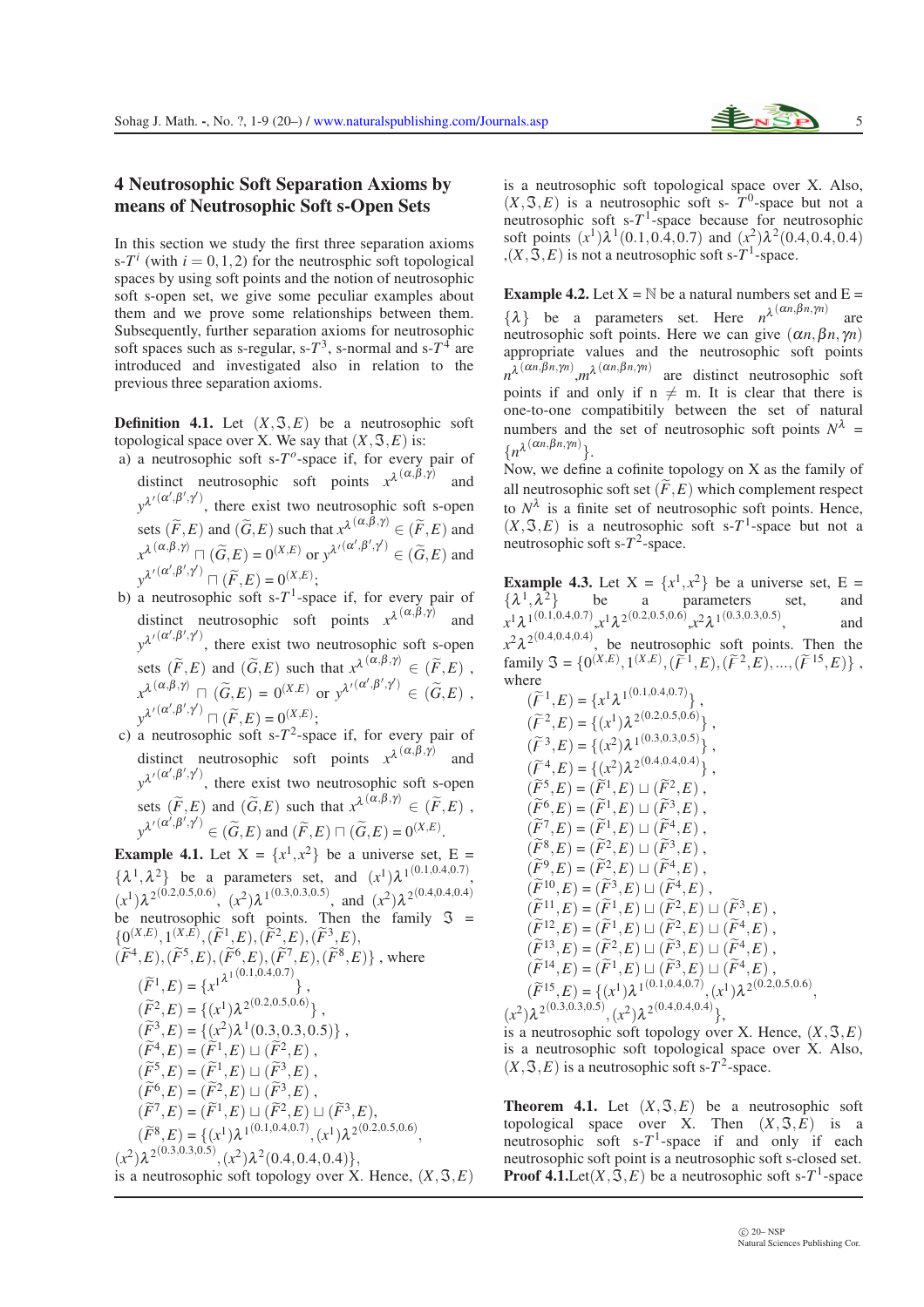#### 4 Neutrosophic Soft Separation Axioms by means of Neutrosophic Soft s-Open Sets

In this section we study the first three separation axioms  $s-T^i$  (with  $i = 0,1,2$ ) for the neutrosphic soft topological spaces by using soft points and the notion of neutrosophic soft s-open set, we give some peculiar examples about them and we prove some relationships between them. Subsequently, further separation axioms for neutrosophic soft spaces such as s-regular,  $s - T^3$ , s-normal and  $s - T^4$  are introduced and investigated also in relation to the previous three separation axioms.

**Definition 4.1.** Let  $(X, \mathcal{F}, E)$  be a neutrosophic soft topological space over X. We say that  $(X, \mathcal{F}, E)$  is:

- a) a neutrosophic soft s- $T<sup>o</sup>$ -space if, for every pair of distinct neutrosophic soft points  $x^{\lambda(\alpha,\beta,\gamma)}$ and  $y^{\lambda'(\alpha',\beta',\gamma')}$ , there exist two neutrosophic soft s-open sets  $(\widetilde{F}, E)$  and  $(\widetilde{G}, E)$  such that  $x^{\lambda}(\alpha, \beta, \gamma) \in (\widetilde{F}, E)$  and  $x^{\lambda} \stackrel{(\alpha,\beta,\gamma)}{\ldots} \sqcap (\widetilde{G},E) = 0^{(X,E)} \text{ or } y^{\lambda'} \stackrel{(\alpha',\beta',\gamma')}{\ldots} \in (\widetilde{G},E) \text{ and }$  $y^{\lambda'}(\alpha', \beta', \gamma') \sqcap (\widetilde{F}, E) = 0^{(X,E)};$
- b) a neutrosophic soft s- $T<sup>1</sup>$ -space if, for every pair of distinct neutrosophic soft points  $x^{\lambda(\alpha,\beta,\gamma)}$ and  $y^{\lambda'(\alpha',\beta',\gamma')}$ , there exist two neutrosophic soft s-open sets  $(\widetilde{F}, E)$  and  $(\widetilde{G}, E)$  such that  $x^{\lambda} \stackrel{(\alpha, \beta, \gamma)}{\sim} \in (\widetilde{F}, E)$ ,  $x^{\lambda} \stackrel{(\alpha,\beta,\gamma)}{\ldots} \sqcap (\widetilde{G},E) = 0^{(X,E)} \text{ or } y^{\lambda'} \stackrel{(\alpha',\beta',\gamma')}{\ldots} \in (\widetilde{G},E)$ ,  $y^{\lambda'}(\alpha', \beta', \gamma') \sqcap (\widetilde{F}, E) = 0^{(X,E)};$
- c) a neutrosophic soft s- $T^2$ -space if, for every pair of distinct neutrosophic soft points  $x^{\lambda(\alpha,\beta,\gamma)}$ and  $y^{\lambda'(\alpha',\beta',\gamma')}$ , there exist two neutrosophic soft s-open sets  $(\widetilde{F}, E)$  and  $(\widetilde{G}, E)$  such that  $x^{\lambda}(\alpha, \beta, \gamma) \in (\widetilde{F}, E)$ ,  $y^{\lambda'}(\alpha', \beta', \gamma') \in (\widetilde{G}, E)$  and  $(\widetilde{F}, E) \sqcap (\widetilde{G}, E) = 0^{(X,E)}$ .

**Example 4.1.** Let  $X = \{x^1, x^2\}$  be a universe set,  $E =$  $\{\lambda^1, \lambda^2\}$  be a parameters set, and  $(x^1)\lambda^{1(0.1,0.4,0.7)}$ ,  $(x^1) \lambda^{2(0.2,0.5,0.6)}, (x^2) \lambda^{1(0.3,0.3,0.5)},$  and  $(x^2) \lambda^{2(0.4,0.4,0.4)}$ be neutrosophic soft points. Then the family  $\Im$  =  $\{ \mathcal{Q}^{(X,E)}_{\sim}, \mathcal{Q}^{(X,E)}_{\sim}, (\widetilde{F}^1_{\sim,\mathcal{E}}), (\widetilde{F}^2_{\sim,\mathcal{E}}), (\widetilde{F}^3_{\sim,\mathcal{E}}), \}$ 

$$
(\widetilde{F}^4, E), (\widetilde{F}^5, E), (\widetilde{F}^6, E), (\widetilde{F}^7, E), (\widetilde{F}^8, E) \}, \text{ where}
$$
\n
$$
(\widetilde{F}^1, E) = \{x^{1^{\lambda 1}(0.1, 0.4, 0.7)},
$$
\n
$$
(\widetilde{F}^2, E) = \{(x^1)\lambda^{2(0.2, 0.5, 0.6)}\},
$$
\n
$$
(\widetilde{F}^3, E) = \{(x^2)\lambda^1(0.3, 0.3, 0.5)\},
$$
\n
$$
(\widetilde{F}^4, E) = (\widetilde{F}^1, E) \sqcup (\widetilde{F}^2, E),
$$
\n
$$
(\widetilde{F}^5, E) = (\widetilde{F}^1, E) \sqcup (\widetilde{F}^3, E),
$$
\n
$$
(\widetilde{F}^6, E) = (\widetilde{F}^2, E) \sqcup (\widetilde{F}^3, E),
$$
\n
$$
(\widetilde{F}^7, E) = (\widetilde{F}^1, E) \sqcup (\widetilde{F}^2, E) \sqcup (\widetilde{F}^3, E),
$$
\n
$$
(\widetilde{F}^8, E) = \{(x^1)\lambda^{1(0.1, 0.4, 0.7)}, (x^1)\lambda^{2(0.2, 0.5, 0.6)},
$$
\n
$$
(x^2)\lambda^{2(0.3, 0.3, 0.5)}, (x^2)\lambda^2(0.4, 0.4, 0.4)\},
$$
\nis a neutrosophic soft topology over X. Hence, (X, \mathcal{S}, E)

is a neutrosophic soft topological space over X. Also,  $(X, \mathfrak{F}, E)$  is a neutrosophic soft s-  $T^0$ -space but not a neutrosophic soft  $s$ - $T$ <sup>1</sup>-space because for neutrosophic soft points  $(x^1) \lambda^1(0.1, 0.4, 0.7)$  and  $(x^2) \lambda^2(0.4, 0.4, 0.4)$  $(x, \mathfrak{S}, E)$  is not a neutrosophic soft s-T<sup>1</sup>-space.

**Example 4.2.** Let  $X = N$  be a natural numbers set and  $E =$  $\{\lambda\}$  be a parameters set. Here  $n^{\lambda(\alpha n, \beta n, \gamma n)}$ are neutrosophic soft points. Here we can give  $(\alpha n, \beta n, \gamma n)$ appropriate values and the neutrosophic soft points  $n^{\lambda(\alpha n,\beta n,\gamma n)}$ ,*m*<sup>λ</sup> ( $\alpha n,\beta n,\gamma n$ ) are distinct neutrosophic soft points if and only if  $n \neq m$ . It is clear that there is one-to-one compatibitily between the set of natural numbers and the set of neutrosophic soft points  $N^{\lambda}$  =  ${n^{\lambda}}^{(\alpha n, \beta n, \gamma n)}$ .

Now, we define a cofinite topology on  $X$  as the family of all neutrosophic soft set  $(\widetilde{F}, E)$  which complement respect to  $N^{\lambda}$  is a finite set of neutrosophic soft points. Hence,  $(X, \mathcal{F}, E)$  is a neutrosophic soft s-T<sup>1</sup>-space but not a neutrosophic soft s- $T^2$ -space.

**Example 4.3.** Let  $X = \{x^1, x^2\}$  be a universe set,  $E =$  $\{\lambda^1, \lambda^2\}$  be a parameters set, and  $x^1 \lambda^{1(0.1,0.4,0.7)}$ , $x^1 \lambda^{2(0.2,0.5,0.6)}$ , $x^2 \lambda^{1(0.3,0.3,0.5)}$ , and  $x^2\lambda^{2(0.4,0.4,0.4)}$ , be neutrosophic soft points. Then the  $\text{family } \mathfrak{S} = \{0^{(X,E)}, 1^{(X,E)}, (\widetilde{F}^1, E), (\widetilde{F}^2, E), ..., (\widetilde{F}^{15}, E)\}\, ,$ where  $(0.1,0.4,0.7)$ 

$$
(\widetilde{F}^{1},E) = \{x^{1}\lambda^{1(0.1,0.4,0.7)}\},
$$
  
\n
$$
(\widetilde{F}^{2},E) = \{(x^{1})\lambda^{2(0.2,0.5,0.6)}\},
$$
  
\n
$$
(\widetilde{F}^{3},E) = \{(x^{2})\lambda^{1(0.3,0.3,0.5)}\},
$$
  
\n
$$
(\widetilde{F}^{4},E) = \{(x^{2})\lambda^{2(0.4,0.4,0.4)}\},
$$
  
\n
$$
(\widetilde{F}^{5},E) = (\widetilde{F}^{1},E) \sqcup (\widetilde{F}^{2},E),
$$
  
\n
$$
(\widetilde{F}^{6},E) = (\widetilde{F}^{1},E) \sqcup (\widetilde{F}^{3},E),
$$
  
\n
$$
(\widetilde{F}^{7},E) = (\widetilde{F}^{2},E) \sqcup (\widetilde{F}^{4},E),
$$
  
\n
$$
(\widetilde{F}^{8},E) = (\widetilde{F}^{2},E) \sqcup (\widetilde{F}^{4},E),
$$
  
\n
$$
(\widetilde{F}^{9},E) = (\widetilde{F}^{2},E) \sqcup (\widetilde{F}^{4},E),
$$
  
\n
$$
(\widetilde{F}^{10},E) = (\widetilde{F}^{2},E) \sqcup (\widetilde{F}^{4},E),
$$
  
\n
$$
(\widetilde{F}^{11},E) = (\widetilde{F}^{1},E) \sqcup (\widetilde{F}^{2},E) \sqcup (\widetilde{F}^{3},E),
$$
  
\n
$$
(\widetilde{F}^{12},E) = (\widetilde{F}^{1},E) \sqcup (\widetilde{F}^{2},E) \sqcup (\widetilde{F}^{4},E),
$$
  
\n
$$
(\widetilde{F}^{13},E) = (\widetilde{F}^{2},E) \sqcup (\widetilde{F}^{3},E) \sqcup (\widetilde{F}^{4},E),
$$
  
\n
$$
(\widetilde{F}^{14},E) = (\widetilde{F}^{1},E) \sqcup (\widetilde{F}^{3},E) \sq
$$

is a neutrosophic soft topology over X. Hence,  $(X, \mathcal{F}, E)$ is a neutrosophic soft topological space over X. Also,  $(X, \mathfrak{F}, E)$  is a neutrosophic soft s-T<sup>2</sup>-space.

**Theorem 4.1.** Let  $(X, \mathcal{F}, E)$  be a neutrosophic soft topological space over X. Then  $(X, \mathcal{S}, E)$  is a neutrosophic soft  $s-T^1$ -space if and only if each neutrosophic soft point is a neutrosophic soft s-closed set. **Proof 4.1.** Let  $(X, \bar{S}, E)$  be a neutrosophic soft s-T<sup>1</sup>-space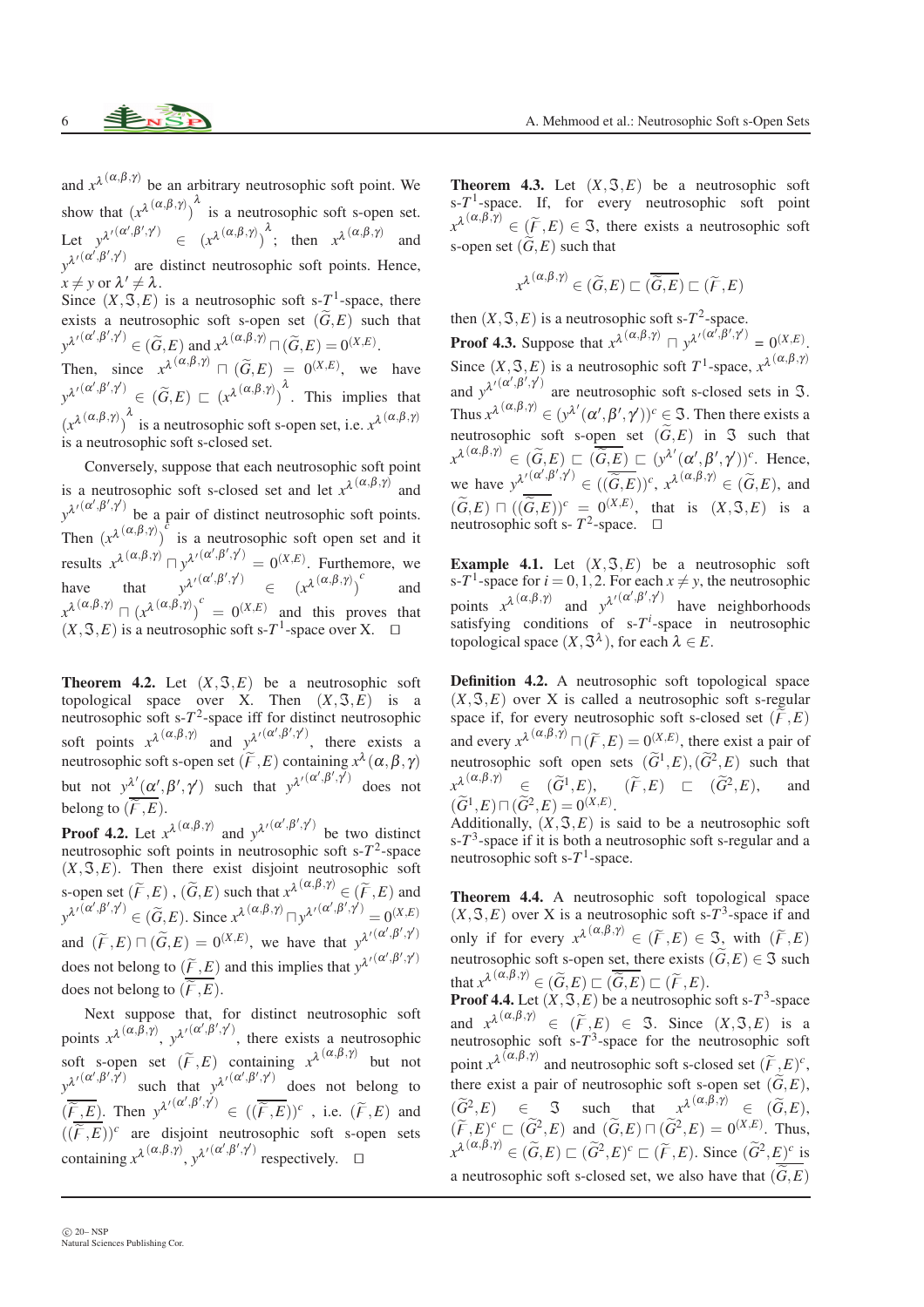and  $x^{\lambda(\alpha,\beta,\gamma)}$  be an arbitrary neutrosophic soft point. We show that  $(x^{\lambda(\alpha,\beta,\gamma)})^{\lambda}$  is a neutrosophic soft s-open set. Let  $y^{\lambda'(\alpha',\beta',\gamma')} \in (x^{\lambda(\alpha,\beta,\gamma)})^{\lambda}$ ; then  $x^{\lambda(\alpha,\beta,\gamma)}$  and  $y^{\lambda\prime}$ <sup>( $\alpha',\beta',\gamma'$ ) are distinct neutrosophic soft points. Hence,</sup>  $x \neq y$  or  $\lambda' \neq \lambda$ . Since  $(X, \mathcal{S}, E)$  is a neutrosophic soft s-T<sup>1</sup>-space, there

exists a neutrosophic soft s-open set  $(\widetilde{G}, E)$  such that  $y^{\lambda'}(\alpha', \beta', \gamma') \in (\widetilde{G}, E)$  and  $x^{\lambda}(\alpha, \beta, \gamma) \cap (\widetilde{G}, E) = 0^{(X,E)}.$ 

Then, since  $x^{\lambda}(\alpha,\beta,\gamma)$   $\Box$   $(\widetilde{G},E) = 0^{(X,E)}$ , we have  $y^{\lambda'(\alpha',\beta',\gamma')} \in (\widetilde{G},E) \sqsubset (x^{\lambda(\alpha,\beta,\gamma)})^{\lambda}$ . This implies that  $(x^{\lambda(\alpha,\beta,\gamma)})^{\lambda}$  is a neutrosophic soft s-open set, i.e.  $x^{\lambda(\alpha,\beta,\gamma)}$ is a neutrosophic soft s-closed set.

Conversely, suppose that each neutrosophic soft point is a neutrosophic soft s-closed set and let  $x^{\lambda(\alpha,\beta,\gamma)}$  and  $y^{\lambda'(\alpha',\beta',\gamma')}$  be a pair of distinct neutrosophic soft points. Then  $(x^{\lambda(\alpha,\beta,\gamma)})^{\lambda}$  is a neutrosophic soft open set and it results  $x^{\lambda(\alpha,\beta,\gamma)} \sqcap y^{\lambda'(\alpha',\beta',\gamma')} = 0^{(X,E)}$ . Furthemore, we have that  $y^{\lambda'(\alpha',\beta',\gamma')} \in (x^{\lambda(\alpha,\beta,\gamma)})^c$ and  $x^{\lambda(\alpha,\beta,\gamma)}$   $\Box$   $(x^{\lambda(\alpha,\beta,\gamma)})^c$  = 0<sup>(*X,E*)</sup> and this proves that  $(X, \mathcal{F}, E)$  is a neutrosophic soft s-T<sup>1</sup>-space over X. □

**Theorem 4.2.** Let  $(X, \mathcal{F}, E)$  be a neutrosophic soft topological space over X. Then  $(X, \mathcal{F}, E)$  is a neutrosophic soft  $s$ - $T$ <sup>2</sup>-space iff for distinct neutrosophic soft points  $x^{\lambda}$ <sup>( $\alpha, \beta, \gamma$ )</sup> and  $y^{\lambda}$ <sup>'( $\alpha', \beta', \gamma'$ )</sup>, there exists a neutrosophic soft s-open set  $(\widetilde{F}, E)$  containing  $x^{\lambda}(\alpha, \beta, \gamma)$ but not  $y^{\lambda'}(\alpha', \beta', \gamma')$  such that  $y^{\lambda'}(\alpha', \beta', \gamma')$  does not belong to  $(\overline{\widetilde{F},E})$ .

**Proof 4.2.** Let  $x^{\lambda}(\alpha,\beta,\gamma)$  and  $y^{\lambda}(\alpha',\beta',\gamma')$  be two distinct neutrosophic soft points in neutrosophic soft  $s-T^2$ -space  $(X, \mathcal{F}, E)$ . Then there exist disjoint neutrosophic soft s-open set  $(\widetilde{F},E)$ ,  $(\widetilde{G},E)$  such that  $x^{\lambda}(\alpha,\beta,\gamma) \in (\widetilde{F},E)$  and  $y^{\lambda'}(\alpha',\beta',\gamma')} \in (\widetilde{G},E)$ . Since  $x^{\lambda}(\alpha,\beta,\gamma) \sqcap y^{\lambda'}(\alpha',\beta',\gamma')} = 0^{(X,E)}$ and  $(\widetilde{F}, E) \sqcap (\widetilde{G}, E) = 0^{(X,E)}$ , we have that  $y^{\lambda'}(\alpha', \beta', \gamma')$ does not belong to  $(\widetilde{f}, E)$  and this implies that  $y^{\lambda'}(\alpha', \beta', \gamma')$ does not belong to  $(\widetilde{F}, \widetilde{E})$ .

Next suppose that, for distinct neutrosophic soft points  $x^{\lambda}$ <sup>( $\alpha, \beta, \gamma$ )</sup>,  $y^{\lambda}$ <sup> $\prime$ ( $\alpha', \beta', \gamma'$ ), there exists a neutrosophic</sup> soft s-open set  $(\widetilde{F}, E)$  containing  $x^{\lambda(\alpha,\beta,\gamma)}$  but not  $y^{\lambda'(\alpha',\beta',\gamma')}$  such that  $y^{\lambda'(\alpha',\beta',\gamma')}$  does not belong to  $(\overline{\widetilde{F}_E}, \overline{E})$ . Then  $y^{\lambda'}(\alpha', \beta', \gamma') \in ((\overline{\widetilde{F}}, \overline{E}))^c$ , i.e.  $(\widetilde{F}, E)$  and  $((\widetilde{F},E))^c$  are disjoint neutrosophic soft s-open sets containing  $x^{\lambda}$ <sup>( $\alpha, \beta, \gamma$ )</sup>,  $y^{\lambda'}$ <sup>( $\alpha', \beta', \gamma'$ )</sup> respectively.  $\Box$ 

**Theorem 4.3.** Let  $(X, \mathcal{F}, E)$  be a neutrosophic soft  $s$ - $T$ <sup>1</sup>-space. If, for every neutrosophic soft point  $x^{\lambda(\alpha,\beta,\gamma)} \in (\widetilde{F},E) \in \mathfrak{S}$ , there exists a neutrosophic soft s-open set  $(\widetilde{G}, E)$  such that

$$
x^{\lambda(\alpha,\beta,\gamma)} \in (\widetilde{G},E) \sqsubset (\overline{\widetilde{G},E}) \sqsubset (\widetilde{F},E)
$$

then  $(X, \mathcal{F}, E)$  is a neutrosophic soft s- $T^2$ -space. **Proof 4.3.** Suppose that  $x^{\lambda}(\alpha, \beta, \gamma)$   $\Box$   $y^{\lambda'}(\alpha', \beta', \gamma') = 0^{(X,E)}$ . Since  $(X, \mathcal{S}, E)$  is a neutrosophic soft  $T^1$ -space,  $x^{\lambda(\alpha, \beta, \gamma)}$ and  $y^{\lambda'}(\alpha', \beta', \gamma')$  are neutrosophic soft s-closed sets in  $\Im$ . Thus  $x^{\lambda} \<sup>(\alpha,\beta,\gamma) \in (\gamma^{\lambda'}(\alpha',\beta',\gamma'))^c \in \mathfrak{I}</sup>$ . Then there exists a</sup> neutrosophic soft s-open set  $(\widetilde{G}, E)$  in  $\Im$  such that  $x^{\lambda(\alpha,\beta,\gamma)} \in (\widetilde{G},E) \sqsubset (\overline{\widetilde{G},E}) \sqsubset (y^{\lambda'}(\alpha',\beta',\gamma'))^c$ . Hence, we have  $y^{\lambda'}(x',\beta',\gamma') \in ((\overline{\widetilde{G},E}))^c$ ,  $x^{\lambda}(\alpha,\beta,\gamma) \in (\widetilde{G},E)$ , and  $(\widetilde{G},E) \,\,\Box\,\, ((\widetilde{G},E))^c = 0^{(X,E)},$  that is  $(X,\mathfrak{F},E)$  is a neutrosophic soft s-  $T^2$ -space. <del>□</del>

Example 4.1. Let  $(X, \mathcal{F}, E)$  be a neutrosophic soft s- $T^1$ -space for  $i = 0, 1, 2$ . For each  $x \neq y$ , the neutrosophic points  $x^{\lambda(\alpha,\beta,\gamma)}$  and  $y^{\lambda'(\alpha',\beta',\gamma')}$  have neighborhoods satisfying conditions of  $s-T^i$ -space in neutrosophic topological space  $(X, \mathcal{S}^{\lambda})$ , for each  $\lambda \in E$ .

Definition 4.2. A neutrosophic soft topological space  $(X, \mathcal{F}, E)$  over X is called a neutrosophic soft s-regular space if, for every neutrosophic soft s-closed set  $(\widetilde{F},E)$ and every  $x^{\lambda}(\alpha,\beta,\gamma)$   $\Box(\widetilde{F},E) = 0$ <sup>(*X,E*)</sup>, there exist a pair of neutrosophic soft open sets  $(\widetilde{G}^1, E), (\widetilde{G}^2, E)$  such that  $x^{\lambda} \stackrel{(\alpha,\beta,\gamma)}{\sim} \in (\widetilde{G}^1,E), \qquad (\widetilde{F},E) \subset (\widetilde{G}^2,E), \qquad \text{and}$  $(\widetilde{G}^1, E) \sqcap (\widetilde{G}^2, E) = 0^{(X,E)}.$ 

Additionally,  $(X, \mathcal{F}, E)$  is said to be a neutrosophic soft  $s$ - $T$ <sup>3</sup>-space if it is both a neutrosophic soft s-regular and a neutrosophic soft  $s$ - $T$ <sup>1</sup>-space.

Theorem 4.4. A neutrosophic soft topological space  $(X, \mathcal{F}, E)$  over X is a neutrosophic soft s-T<sup>3</sup>-space if and only if for every  $x^{\lambda(\alpha,\beta,\gamma)} \in (\widetilde{F},E) \in \mathfrak{S}$ , with  $(\widetilde{F},E)$ neutrosophic soft s-open set, there exists  $(\widetilde{G}, E) \in \mathfrak{S}$  such that  $x^{\lambda}$ <sup>( $\alpha, \beta, \gamma$ )</sup>  $\in (\widetilde{G}, E)$   $\sqsubset (\widetilde{G}, E)$   $\sqsubset (\widetilde{F}, E)$ .

**Proof 4.4.** Let  $(X, \mathcal{S}, E)$  be a neutrosophic soft s- $T^3$ -space and  $x^{\lambda(\alpha,\beta,\gamma)} \in (\widetilde{F},E) \in \mathfrak{I}$ . Since  $(X,\mathfrak{I},E)$  is a neutrosophic soft s-*T*<sup>3</sup>-space for the neutrosophic soft point  $x^{\lambda}$ <sup>( $\alpha, \beta, \gamma$ )</sup> and neutrosophic soft s-closed set  $(\widetilde{F}, E)^c$ , there exist a pair of neutrosophic soft s-open set  $(\widetilde{G}, E)$ ,  $(\widetilde{G}^2, E) \in \mathbb{S}$  such that  $x^{\lambda(\alpha,\beta,\gamma)} \in (\widetilde{G},E),$  $(\widetilde{F}, E)^c \sqsubset (\widetilde{G}^2, E)$  and  $(\widetilde{G}, E) \sqcap (\widetilde{G}^2, E) = 0^{(X,E)}$ . Thus,  $x^{\lambda(\alpha,\beta,\gamma)} \in (\widetilde{G},E) \sqsubset (\widetilde{G}^2,E)^c \sqsubset (\widetilde{F},E)$ . Since  $(\widetilde{G}^2,E)^c$  is a neutrosophic soft s-closed set, we also have that  $(\widetilde{G}, E)$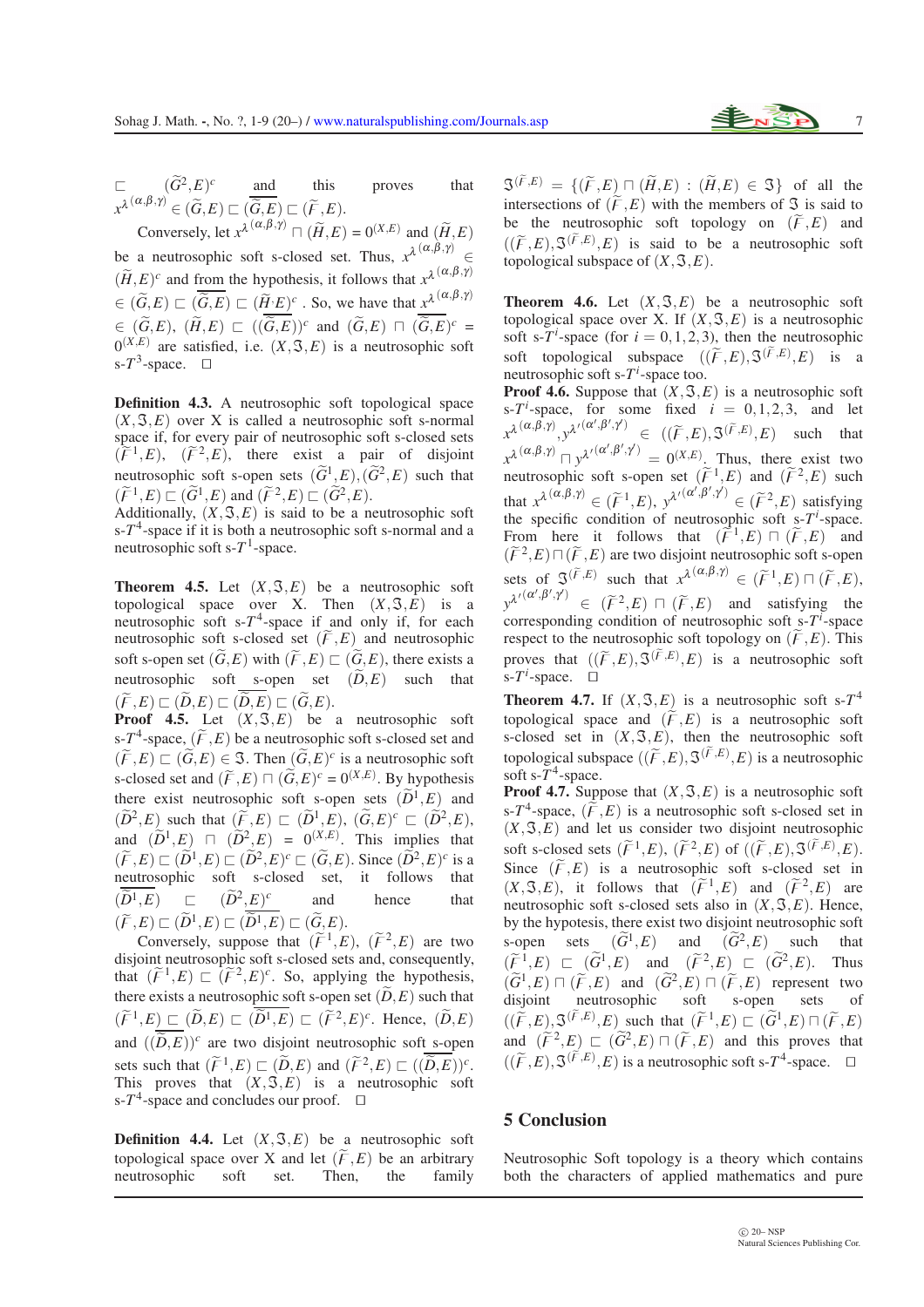$\Box$   $(\widetilde{G}^2, E)^c$  and this proves that  $x^{\lambda}(\alpha,\beta,\gamma) \in (\widetilde{G},E) \sqsubset (\widetilde{G},E) \sqsubset (\widetilde{F},E).$ 

Conversely, let  $x^{\lambda}$ <sup>( $\alpha, \beta, \gamma$ )</sup>  $\Box$  ( $\widetilde{H}, E$ ) = 0<sup>( $X, E$ )</sup> and ( $\widetilde{H}, E$ ) be a neutrosophic soft s-closed set. Thus,  $x^{\lambda(\alpha,\beta,\gamma)} \in$  $(\widetilde{H}, E)^c$  and from the hypothesis, it follows that  $x^{\lambda}$   $(\alpha, \beta, \gamma)$  $\in (\widetilde{G}, E) \sqsubset (\overline{\widetilde{G}, E}) \sqsubset (\widetilde{H} \cdot E)^c$ . So, we have that  $x^{\lambda(\alpha, \beta, \gamma)}$  $\in$   $(\widetilde{G},E)$ ,  $(\widetilde{H},E)$   $\sqsubset$   $((\widetilde{G},E))^c$  and  $(\widetilde{G},E)$   $\sqcap$   $(\widetilde{G},E)^c$  =  $0^{(X,E)}$  are satisfied, i.e.  $(X, \mathfrak{S}, E)$  is a neutrosophic soft s- $T^3$ -space. □

Definition 4.3. A neutrosophic soft topological space  $(X, \mathcal{F}, E)$  over X is called a neutrosophic soft s-normal space if, for every pair of neutrosophic soft s-closed sets  $(\widetilde{F}^1,E)$ ,  $(\widetilde{F}^2,E)$ , there exist a pair of disjoint neutrosophic soft s-open sets  $(\widetilde{G}^1, E), (\widetilde{G}^2, E)$  such that  $(\widetilde{F}^1, E) \sqsubset (\widetilde{G}^1, E)$  and  $(\widetilde{F}^2, E) \sqsubset (\widetilde{G}^2, E)$ .

Additionally,  $(X, \mathfrak{S}, E)$  is said to be a neutrosophic soft  $s$ - $T<sup>4</sup>$ -space if it is both a neutrosophic soft s-normal and a neutrosophic soft  $s-T^1$ -space.

**Theorem 4.5.** Let  $(X, \mathcal{F}, E)$  be a neutrosophic soft topological space over X. Then  $(X, \mathcal{F}, E)$  is a neutrosophic soft  $s-T^4$ -space if and only if, for each neutrosophic soft s-closed set  $(\widetilde{F}, E)$  and neutrosophic soft s-open set  $(\widetilde{G}, E)$  with  $(\widetilde{F}, E) \sqsubset (\widetilde{G}, E)$ , there exists a neutrosophic soft s-open set  $(\widetilde{D}, E)$  such that  $(\widetilde{F},E) \sqsubset (\widetilde{D},E) \sqsubset (\widetilde{D},E) \sqsubset (\widetilde{G},E).$ 

**Proof 4.5.** Let  $(X, \mathcal{F}, E)$  be a neutrosophic soft s- $T^4$ -space,  $(\widetilde{F}, E)$  be a neutrosophic soft s-closed set and  $(\widetilde{F},E) \sqsubset (\widetilde{G},E) \in \mathfrak{S}$ . Then  $(\widetilde{G},E)^c$  is a neutrosophic soft s-closed set and  $(\widetilde{F}, E)$   $\Box$   $(\widetilde{G}, E)^c = 0^{(X,E)}$ . By hypothesis there exist neutrosophic soft s-open sets  $(\widetilde{D}^1, E)$  and  $(\widetilde{D}^2, E)$  such that  $(\widetilde{F}, E) \sqsubset (\widetilde{D}^1, E)$ ,  $(\widetilde{G}, E)^c \sqsubset (\widetilde{D}^2, E)$ , and  $(\widetilde{D}^1, E) \square (\widetilde{D}^2, E) = 0^{(X,E)}$ . This implies that  $(\widetilde{F}, E) \sqsubset (\widetilde{D}^1, E) \sqsubset (\widetilde{D}^2, E)^c \sqsubset (\widetilde{G}, E)$ . Since  $(\widetilde{D}^2, E)^c$  is a neutrosophic soft s-closed set, it follows that  $(\widetilde{D}^1, E)$  $(E)$   $\square$   $(\widetilde{D}^2, E)^c$ and hence that  $(\widetilde{F},E) \sqsubset (\widetilde{D}^1,E) \sqsubset (\widetilde{D}^1,E) \sqsubset (\widetilde{G},E).$ 

Conversely, suppose that  $(\widetilde{F}^1, E)$ ,  $(\widetilde{F}^2, E)$  are two disjoint neutrosophic soft s-closed sets and, consequently, that  $(\widetilde{F}^1, E) \sqsubset (\widetilde{F}^2, E)^c$ . So, applying the hypothesis, there exists a neutrosophic soft s-open set  $(\widetilde{D}, E)$  such that  $(\widetilde{F}^1,E) \subseteq (\widetilde{D},E) \subseteq (\widetilde{D}^1,E) \subseteq (\widetilde{F}^2,E)^c$ . Hence,  $(\widetilde{D},E)$ and  $((\widetilde{D}, E))^c$  are two disjoint neutrosophic soft s-open sets such that  $(\widetilde{F}^1, E) \sqsubset (\widetilde{D}, E)$  and  $(\widetilde{F}^2, E) \sqsubset ((\widetilde{D}, E))^c$ . This proves that  $(X, \mathcal{S}, E)$  is a neutrosophic soft s- $T^4$ -space and concludes our proof.  $□$ 

**Definition 4.4.** Let  $(X, \mathcal{F}, E)$  be a neutrosophic soft topological space over X and let  $(\widetilde{F}, E)$  be an arbitrary<br>neutrosophic soft set. Then, the family neutrosophic

 $\mathfrak{S}^{(\widetilde{F},E)} = \{(\widetilde{F},E) \sqcap (\widetilde{H},E) : (\widetilde{H},E) \in \mathfrak{S}\}\$  of all the intersections of  $(\widetilde{F}, E)$  with the members of  $\Im$  is said to be the neutrosophic soft topology on  $(\widetilde{F}, E)$  and  $((\widetilde{F}, E), \mathfrak{F}(\widetilde{F}, E), E)$  is said to be a neutrosophic soft topological subspace of  $(X, \mathcal{F}, E)$ .

**Theorem 4.6.** Let  $(X, \mathcal{F}, E)$  be a neutrosophic soft topological space over X. If  $(X, \mathcal{F}, E)$  is a neutrosophic soft s- $T^i$ -space (for  $i = 0, 1, 2, 3$ ), then the neutrosophic soft topological subspace  $((\widetilde{F}, E), \mathfrak{F}^{(\widetilde{F}, E)}, E)$  is a neutrosophic soft s- $T^i$ -space too.

**Proof 4.6.** Suppose that  $(X, \mathcal{Z}, E)$  is a neutrosophic soft  $s$ -*T*<sup>*i*</sup>-space, for some fixed  $i = 0, 1, 2, 3$ , and let  $x^{\lambda} \stackrel{(\alpha,\beta,\gamma)}{\ldots}, y^{\lambda'} \stackrel{(\alpha',\beta',\gamma')}{\ldots} \in ((\widetilde{F},E), \mathfrak{I}^{(\widetilde{F},E)}, E)$  such that  $x^{\lambda(\alpha,\beta,\gamma)} \sqcap y^{\lambda'(\alpha',\beta',\gamma')} = 0^{(X,E)}$ . Thus, there exist two neutrosophic soft s-open set  $(\widetilde{F}^1, E)$  and  $(\widetilde{F}^2, E)$  such that  $x^{\lambda}$ <sup>( $\alpha, \beta, \gamma$ )</sup>  $\in (\widetilde{F}^1, E), y^{\lambda'}$ <sup>( $\alpha', \beta', \gamma'$ )</sup>  $\in (\widetilde{F}^2, E)$  satisfying the specific condition of neutrosophic soft  $s-T^i$ -space. From here it follows that  $(\tilde{F}^1, E) \sqcap (\tilde{F}, E)$  and  $(\widetilde{F}^2, E) \sqcap (\widetilde{F}, E)$  are two disjoint neutrosophic soft s-open sets of  $\mathfrak{I}^{(\widetilde{F},E)}$  such that  $x^{\lambda(\alpha,\beta,\gamma)} \in (\widetilde{F}^1,E) \sqcap (\widetilde{F},E)$ ,  $y^{\lambda'}(\alpha', \beta', \gamma') \in (\widetilde{F}^2, E) \sqcap (\widetilde{F}, E)$  and satisfying the corresponding condition of neutrosophic soft s- $T<sup>i</sup>$ -space respect to the neutrosophic soft topology on  $(\widetilde{F}, E)$ . This proves that  $((\widetilde{F}, E), \mathfrak{F}^{(\widetilde{F}, E)}, E)$  is a neutrosophic soft  $s$ -*T<sup>i</sup>*-space. □

**Theorem 4.7.** If  $(X, \mathcal{F}, E)$  is a neutrosophic soft s- $T^4$ topological space and  $(\widetilde{F}, E)$  is a neutrosophic soft s-closed set in  $(X, \mathcal{F}, E)$ , then the neutrosophic soft topological subspace  $((\widetilde{F}, E), \mathfrak{I}^{(\widetilde{F}, E)}, E)$  is a neutrosophic soft s- $T^4$ -space.

**Proof 4.7.** Suppose that  $(X, \mathcal{F}, E)$  is a neutrosophic soft s- $T^4$ -space,  $(\widetilde{F}, E)$  is a neutrosophic soft s-closed set in  $(X, \mathcal{F}, E)$  and let us consider two disjoint neutrosophic soft s-closed sets  $(\widetilde{F}^1, E)$ ,  $(\widetilde{F}^2, E)$  of  $((\widetilde{F}, E), \mathfrak{F}^{(\widetilde{F}, E)}, E)$ . Since  $(\widetilde{F}, E)$  is a neutrosophic soft s-closed set in  $(X, \mathfrak{F}, E)$ , it follows that  $(\widetilde{F}^1, E)$  and  $(\widetilde{F}^2, E)$  are neutrosophic soft s-closed sets also in  $(X, \mathcal{S}, E)$ . Hence, by the hypotesis, there exist two disjoint neutrosophic soft s-open sets  $(\widetilde{G}^1, E)$  and  $(\widetilde{G}^2, E)$  such that  $(\widetilde{F}^1,E) \subseteq (\widetilde{G}^1,E)$  and  $(\widetilde{F}^2,E) \subseteq (\widetilde{G}^2,E)$ . Thus  $(\widetilde{G}^1, E) \sqcap (\widetilde{F}, E)$  and  $(\widetilde{G}^2, E) \sqcap (\widetilde{F}, E)$  represent two disjoint neutrosophic soft s-open sets of  $((\widetilde{F}, E), \mathcal{S}^{(\widetilde{F}, E)}, E)$  such that  $(\widetilde{F}^1, E) \sqsubset (\widetilde{G}^1, E) \sqcap (\widetilde{F}, E)$ and  $(\widetilde{F}^2, E) \sqsubset (\widetilde{G}^2, E) \sqcap (\widetilde{F}, E)$  and this proves that  $((\widetilde{F}, E), \mathfrak{I}^{(\widetilde{F}, E)}, E)$  is a neutrosophic soft s-T<sup>4</sup>-space. □

#### 5 Conclusion

Neutrosophic Soft topology is a theory which contains both the characters of applied mathematics and pure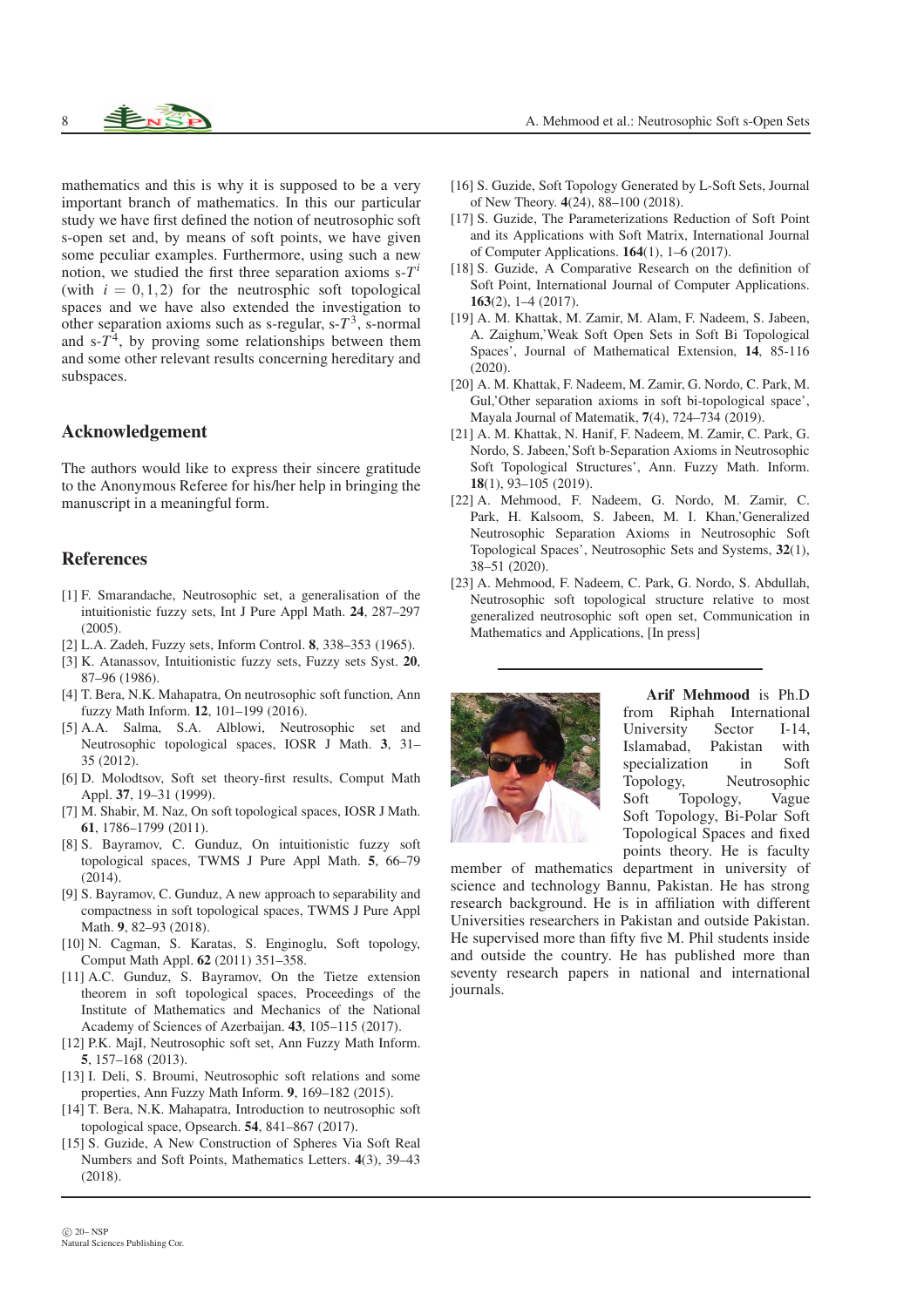mathematics and this is why it is supposed to be a very important branch of mathematics. In this our particular study we have first defined the notion of neutrosophic soft s-open set and, by means of soft points, we have given some peculiar examples. Furthermore, using such a new notion, we studied the first three separation axioms s-*T i* (with  $i = 0, 1, 2$ ) for the neutrosphic soft topological spaces and we have also extended the investigation to other separation axioms such as s-regular,  $s - T^3$ , s-normal and  $s-T^4$ , by proving some relationships between them and some other relevant results concerning hereditary and subspaces.

### Acknowledgement

The authors would like to express their sincere gratitude to the Anonymous Referee for his/her help in bringing the manuscript in a meaningful form.

#### References

- <span id="page-8-1"></span>[1] F. Smarandache, Neutrosophic set, a generalisation of the intuitionistic fuzzy sets, Int J Pure Appl Math. 24, 287–297 (2005).
- <span id="page-8-3"></span><span id="page-8-2"></span>[2] L.A. Zadeh, Fuzzy sets, Inform Control. 8, 338–353 (1965).
- [3] K. Atanassov, Intuitionistic fuzzy sets, Fuzzy sets Syst. 20, 87–96 (1986).
- <span id="page-8-4"></span>[4] T. Bera, N.K. Mahapatra, On neutrosophic soft function, Ann fuzzy Math Inform. 12, 101–199 (2016).
- <span id="page-8-5"></span>[5] A.A. Salma, S.A. Alblowi, Neutrosophic set and Neutrosophic topological spaces, IOSR J Math. 3, 31– 35 (2012).
- <span id="page-8-6"></span>[6] D. Molodtsov, Soft set theory-first results, Comput Math Appl. 37, 19–31 (1999).
- <span id="page-8-7"></span>[7] M. Shabir, M. Naz, On soft topological spaces, IOSR J Math. 61, 1786–1799 (2011).
- <span id="page-8-8"></span>[8] S. Bayramov, C. Gunduz, On intuitionistic fuzzy soft topological spaces, TWMS J Pure Appl Math. 5, 66–79 (2014).
- <span id="page-8-9"></span>[9] S. Bayramov, C. Gunduz, A new approach to separability and compactness in soft topological spaces, TWMS J Pure Appl Math. 9, 82–93 (2018).
- <span id="page-8-10"></span>[10] N. Cagman, S. Karatas, S. Enginoglu, Soft topology, Comput Math Appl. 62 (2011) 351–358.
- <span id="page-8-11"></span>[11] A.C. Gunduz, S. Bayramov, On the Tietze extension theorem in soft topological spaces, Proceedings of the Institute of Mathematics and Mechanics of the National Academy of Sciences of Azerbaijan. 43, 105–115 (2017).
- <span id="page-8-12"></span>[12] P.K. MajI, Neutrosophic soft set, Ann Fuzzy Math Inform. 5, 157–168 (2013).
- <span id="page-8-13"></span>[13] I. Deli, S. Broumi, Neutrosophic soft relations and some properties, Ann Fuzzy Math Inform. 9, 169–182 (2015).
- <span id="page-8-14"></span>[14] T. Bera, N.K. Mahapatra, Introduction to neutrosophic soft topological space, Opsearch. 54, 841–867 (2017).
- <span id="page-8-15"></span>[15] S. Guzide, A New Construction of Spheres Via Soft Real Numbers and Soft Points, Mathematics Letters. 4(3), 39–43 (2018).
- <span id="page-8-16"></span>[16] S. Guzide, Soft Topology Generated by L-Soft Sets, Journal of New Theory. 4(24), 88–100 (2018).
- <span id="page-8-17"></span>[17] S. Guzide, The Parameterizations Reduction of Soft Point and its Applications with Soft Matrix, International Journal of Computer Applications. 164(1), 1–6 (2017).
- <span id="page-8-18"></span>[18] S. Guzide, A Comparative Research on the definition of Soft Point, International Journal of Computer Applications. 163(2), 1–4 (2017).
- <span id="page-8-19"></span>[19] A. M. Khattak, M. Zamir, M. Alam, F. Nadeem, S. Jabeen, A. Zaighum,'Weak Soft Open Sets in Soft Bi Topological Spaces', Journal of Mathematical Extension, 14, 85-116 (2020).
- <span id="page-8-20"></span>[20] A. M. Khattak, F. Nadeem, M. Zamir, G. Nordo, C. Park, M. Gul,'Other separation axioms in soft bi-topological space', Mayala Journal of Matematik, 7(4), 724–734 (2019).
- <span id="page-8-21"></span>[21] A. M. Khattak, N. Hanif, F. Nadeem, M. Zamir, C. Park, G. Nordo, S. Jabeen,'Soft b-Separation Axioms in Neutrosophic Soft Topological Structures', Ann. Fuzzy Math. Inform. 18(1), 93–105 (2019).
- <span id="page-8-22"></span>[22] A. Mehmood, F. Nadeem, G. Nordo, M. Zamir, C. Park, H. Kalsoom, S. Jabeen, M. I. Khan,'Generalized Neutrosophic Separation Axioms in Neutrosophic Soft Topological Spaces', Neutrosophic Sets and Systems, 32(1), 38–51 (2020).
- <span id="page-8-23"></span>[23] A. Mehmood, F. Nadeem, C. Park, G. Nordo, S. Abdullah, Neutrosophic soft topological structure relative to most generalized neutrosophic soft open set, Communication in Mathematics and Applications, [In press]

<span id="page-8-0"></span>

Arif Mehmood is Ph.D from Riphah International University Sector I-14, Islamabad, Pakistan with specialization in Soft Topology, Neutrosophic Soft Topology, Vague Soft Topology, Bi-Polar Soft Topological Spaces and fixed points theory. He is faculty

member of mathematics department in university of science and technology Bannu, Pakistan. He has strong research background. He is in affiliation with different Universities researchers in Pakistan and outside Pakistan. He supervised more than fifty five M. Phil students inside and outside the country. He has published more than seventy research papers in national and international journals.